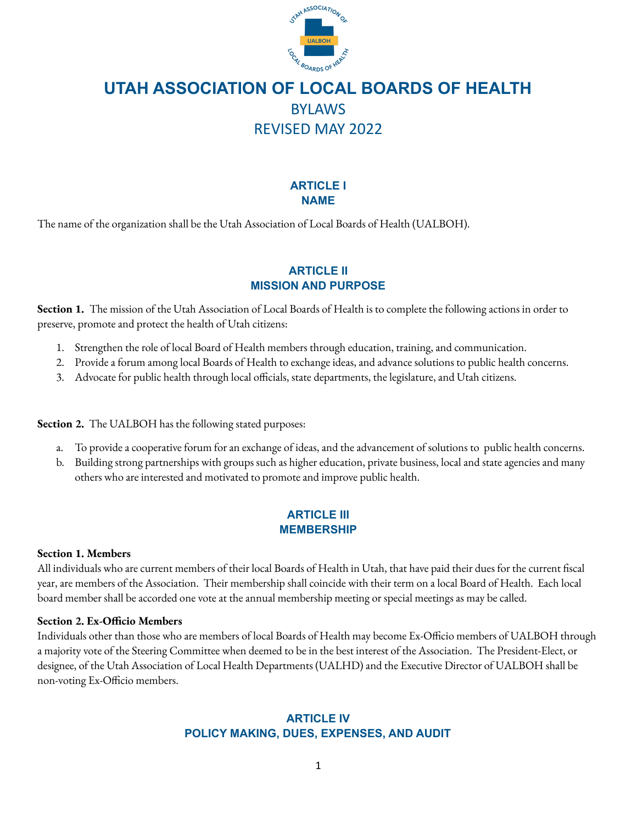

# **ARTICLE I NAME**

The name of the organization shall be the Utah Association of Local Boards of Health (UALBOH).

# **ARTICLE II MISSION AND PURPOSE**

**Section 1.** The mission of the Utah Association of Local Boards of Health is to complete the following actions in order to preserve, promote and protect the health of Utah citizens:

- 1. Strengthen the role of local Board of Health members through education, training, and communication.
- 2. Provide a forum among local Boards of Health to exchange ideas, and advance solutions to public health concerns.
- 3. Advocate for public health through local officials, state departments, the legislature, and Utah citizens.

**Section 2.** The UALBOH has the following stated purposes:

- a. To provide a cooperative forum for an exchange of ideas, and the advancement of solutions to public health concerns.
- b. Building strong partnerships with groups such as higher education, private business, local and state agencies and many others who are interested and motivated to promote and improve public health.

# **ARTICLE III MEMBERSHIP**

## **Section 1. Members**

All individuals who are current members of their local Boards of Health in Utah, that have paid their dues for the current fiscal year, are members of the Association. Their membership shall coincide with their term on a local Board of Health. Each local board member shall be accorded one vote at the annual membership meeting or special meetings as may be called.

## **Section 2. Ex-Officio Members**

Individuals other than those who are members of local Boards of Health may become Ex-Officio members of UALBOH through a majority vote of the Steering Committee when deemed to be in the best interest of the Association. The President-Elect, or designee, of the Utah Association of Local Health Departments (UALHD) and the Executive Director of UALBOH shall be non-voting Ex-Officio members.

# **ARTICLE IV POLICY MAKING, DUES, EXPENSES, AND AUDIT**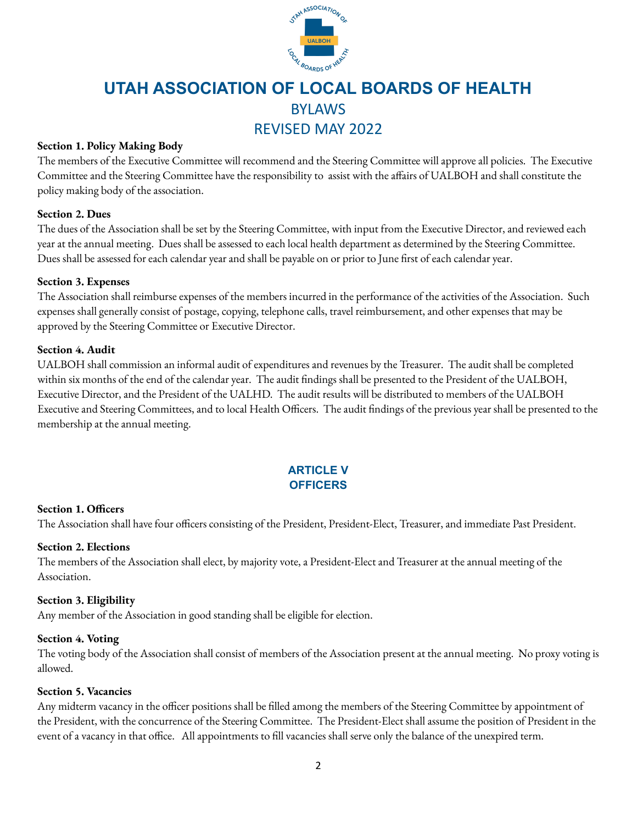

# **Section 1. Policy Making Body**

The members of the Executive Committee will recommend and the Steering Committee will approve all policies. The Executive Committee and the Steering Committee have the responsibility to assist with the affairs of UALBOH and shall constitute the policy making body of the association.

# **Section 2. Dues**

The dues of the Association shall be set by the Steering Committee, with input from the Executive Director, and reviewed each year at the annual meeting. Dues shall be assessed to each local health department as determined by the Steering Committee. Dues shall be assessed for each calendar year and shall be payable on or prior to June first of each calendar year.

## **Section 3. Expenses**

The Association shall reimburse expenses of the members incurred in the performance of the activities of the Association. Such expenses shall generally consist of postage, copying, telephone calls, travel reimbursement, and other expenses that may be approved by the Steering Committee or Executive Director.

# **Section 4. Audit**

UALBOH shall commission an informal audit of expenditures and revenues by the Treasurer. The audit shall be completed within six months of the end of the calendar year. The audit findings shall be presented to the President of the UALBOH, Executive Director, and the President of the UALHD. The audit results will be distributed to members of the UALBOH Executive and Steering Committees, and to local Health Officers. The audit findings of the previous year shall be presented to the membership at the annual meeting.

# **ARTICLE V OFFICERS**

## **Section 1. Officers**

The Association shall have four officers consisting of the President, President-Elect, Treasurer, and immediate Past President.

## **Section 2. Elections**

The members of the Association shall elect, by majority vote, a President-Elect and Treasurer at the annual meeting of the Association.

## **Section 3. Eligibility**

Any member of the Association in good standing shall be eligible for election.

## **Section 4. Voting**

The voting body of the Association shall consist of members of the Association present at the annual meeting. No proxy voting is allowed.

# **Section 5. Vacancies**

Any midterm vacancy in the officer positions shall be filled among the members of the Steering Committee by appointment of the President, with the concurrence of the Steering Committee. The President-Elect shall assume the position of President in the event of a vacancy in that office. All appointments to fill vacancies shall serve only the balance of the unexpired term.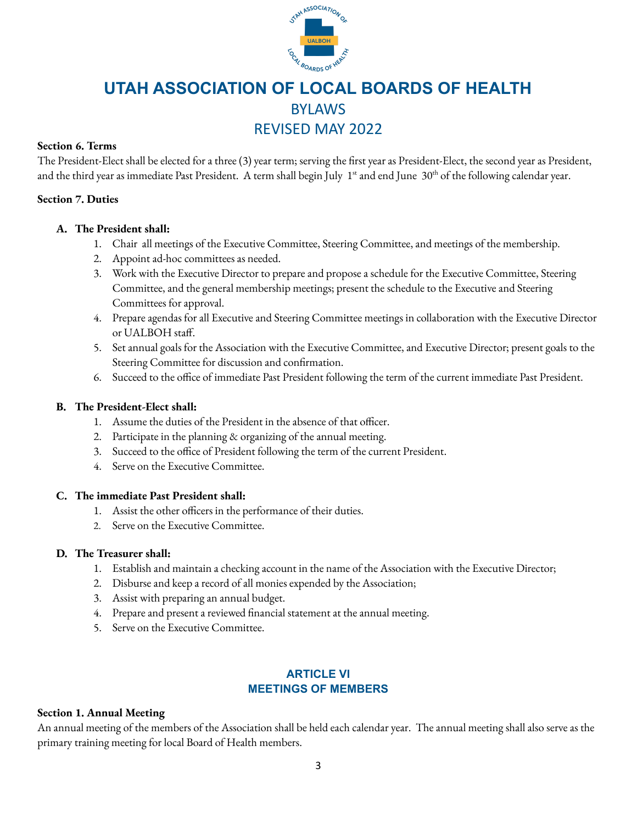

# **Section 6. Terms**

The President-Elect shall be elected for a three (3) year term; serving the first year as President-Elect, the second year as President, and the third year as immediate Past President. A term shall begin July 1<sup>st</sup> and end June 30<sup>th</sup> of the following calendar year.

# **Section 7. Duties**

# **A. The President shall:**

- 1. Chair all meetings of the Executive Committee, Steering Committee, and meetings of the membership.
- 2. Appoint ad-hoc committees as needed.
- 3. Work with the Executive Director to prepare and propose a schedule for the Executive Committee, Steering Committee, and the general membership meetings; present the schedule to the Executive and Steering Committees for approval.
- 4. Prepare agendas for all Executive and Steering Committee meetings in collaboration with the Executive Director or UALBOH staff.
- 5. Set annual goals for the Association with the Executive Committee, and Executive Director; present goals to the Steering Committee for discussion and confirmation.
- 6. Succeed to the office of immediate Past President following the term of the current immediate Past President.

# **B. The President-Elect shall:**

- 1. Assume the duties of the President in the absence of that officer.
- 2. Participate in the planning & organizing of the annual meeting.
- 3. Succeed to the office of President following the term of the current President.
- 4. Serve on the Executive Committee.

## **C. The immediate Past President shall:**

- 1. Assist the other officers in the performance of their duties.
- 2. Serve on the Executive Committee.

## **D. The Treasurer shall:**

- 1. Establish and maintain a checking account in the name of the Association with the Executive Director;
- 2. Disburse and keep a record of all monies expended by the Association;
- 3. Assist with preparing an annual budget.
- 4. Prepare and present a reviewed financial statement at the annual meeting.
- 5. Serve on the Executive Committee.

# **ARTICLE VI MEETINGS OF MEMBERS**

## **Section 1. Annual Meeting**

An annual meeting of the members of the Association shall be held each calendar year. The annual meeting shall also serve as the primary training meeting for local Board of Health members.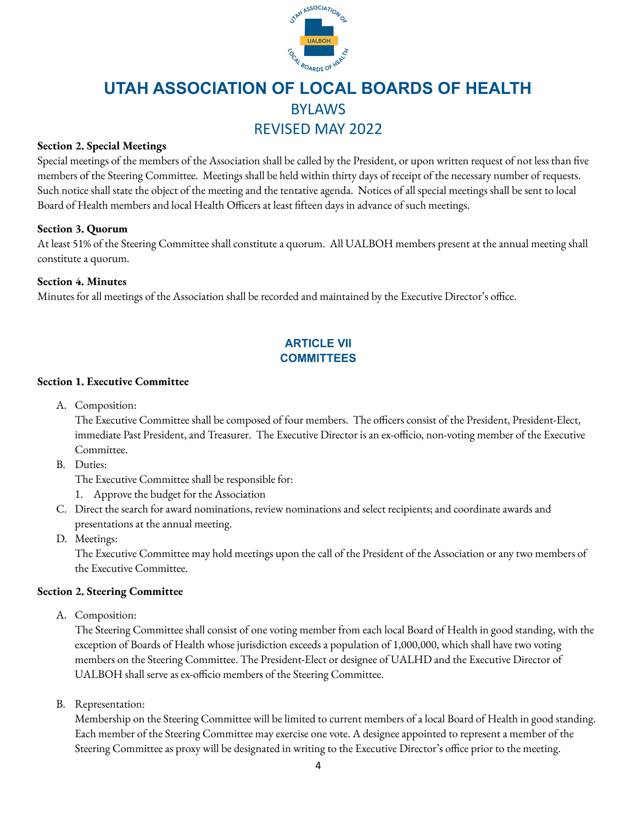

# **Section 2. Special Meetings**

Special meetings of the members of the Association shall be called by the President, or upon written request of not less than five members of the Steering Committee. Meetings shall be held within thirty days of receipt of the necessary number of requests. Such notice shall state the object of the meeting and the tentative agenda. Notices of all special meetings shall be sent to local Board of Health members and local Health Officers at least fifteen days in advance of such meetings.

# **Section 3. Quorum**

At least 51% of the Steering Committee shall constitute a quorum. All UALBOH members present at the annual meeting shall constitute a quorum.

## **Section 4. Minutes**

Minutes for all meetings of the Association shall be recorded and maintained by the Executive Director's office.

# **ARTICLE VII COMMITTEES**

## **Section 1. Executive Committee**

A. Composition:

The Executive Committee shall be composed of four members. The officers consist of the President, President-Elect, immediate Past President, and Treasurer. The Executive Director is an ex-officio, non-voting member of the Executive Committee.

B. Duties:

The Executive Committee shall be responsible for:

- 1. Approve the budget for the Association
- C. Direct the search for award nominations, review nominations and select recipients; and coordinate awards and presentations at the annual meeting.
- D. Meetings:

The Executive Committee may hold meetings upon the call of the President of the Association or any two members of the Executive Committee.

## **Section 2. Steering Committee**

A. Composition:

The Steering Committee shall consist of one voting member from each local Board of Health in good standing, with the exception of Boards of Health whose jurisdiction exceeds a population of 1,000,000, which shall have two voting members on the Steering Committee. The President-Elect or designee of UALHD and the Executive Director of UALBOH shall serve as ex-officio members of the Steering Committee.

B. Representation:

Membership on the Steering Committee will be limited to current members of a local Board of Health in good standing. Each member of the Steering Committee may exercise one vote. A designee appointed to represent a member of the Steering Committee as proxy will be designated in writing to the Executive Director's office prior to the meeting.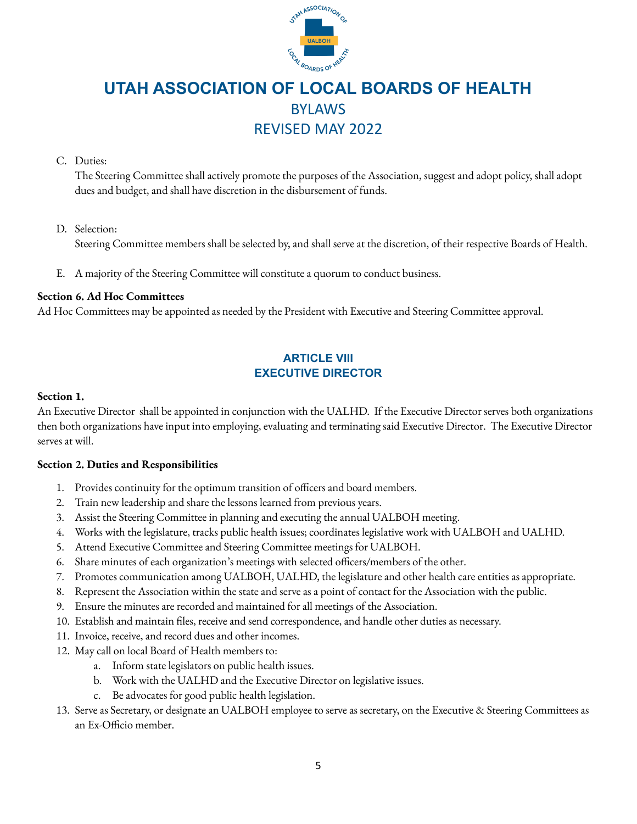

# C. Duties:

The Steering Committee shall actively promote the purposes of the Association, suggest and adopt policy, shall adopt dues and budget, and shall have discretion in the disbursement of funds.

#### D. Selection:

Steering Committee members shall be selected by, and shall serve at the discretion, of their respective Boards of Health.

E. A majority of the Steering Committee will constitute a quorum to conduct business.

#### **Section 6. Ad Hoc Committees**

Ad Hoc Committees may be appointed as needed by the President with Executive and Steering Committee approval.

# **ARTICLE VIII EXECUTIVE DIRECTOR**

#### **Section 1.**

An Executive Director shall be appointed in conjunction with the UALHD. If the Executive Director serves both organizations then both organizations have input into employing, evaluating and terminating said Executive Director. The Executive Director serves at will.

## **Section 2. Duties and Responsibilities**

- 1. Provides continuity for the optimum transition of officers and board members.
- 2. Train new leadership and share the lessons learned from previous years.
- 3. Assist the Steering Committee in planning and executing the annual UALBOH meeting.
- 4. Works with the legislature, tracks public health issues; coordinates legislative work with UALBOH and UALHD.
- 5. Attend Executive Committee and Steering Committee meetings for UALBOH.
- 6. Share minutes of each organization's meetings with selected officers/members of the other.
- 7. Promotes communication among UALBOH, UALHD, the legislature and other health care entities as appropriate.
- 8. Represent the Association within the state and serve as a point of contact for the Association with the public.
- 9. Ensure the minutes are recorded and maintained for all meetings of the Association.
- 10. Establish and maintain files, receive and send correspondence, and handle other duties as necessary.
- 11. Invoice, receive, and record dues and other incomes.
- 12. May call on local Board of Health members to:
	- a. Inform state legislators on public health issues.
	- b. Work with the UALHD and the Executive Director on legislative issues.
	- c. Be advocates for good public health legislation.
- 13. Serve as Secretary, or designate an UALBOH employee to serve as secretary, on the Executive & Steering Committees as an Ex-Officio member.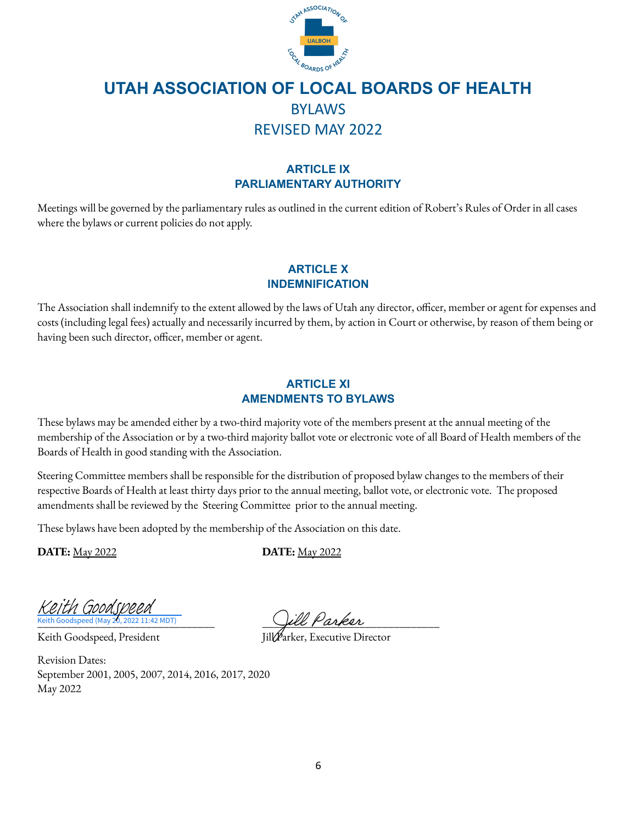

# **ARTICLE IX PARLIAMENTARY AUTHORITY**

Meetings will be governed by the parliamentary rules as outlined in the current edition of Robert's Rules of Order in all cases where the bylaws or current policies do not apply.

# **ARTICLE X INDEMNIFICATION**

The Association shall indemnify to the extent allowed by the laws of Utah any director, officer, member or agent for expenses and costs (including legal fees) actually and necessarily incurred by them, by action in Court or otherwise, by reason of them being or having been such director, officer, member or agent.

# **ARTICLE XI AMENDMENTS TO BYLAWS**

These bylaws may be amended either by a two-third majority vote of the members present at the annual meeting of the membership of the Association or by a two-third majority ballot vote or electronic vote of all Board of Health members of the Boards of Health in good standing with the Association.

Steering Committee members shall be responsible for the distribution of proposed bylaw changes to the members of their respective Boards of Health at least thirty days prior to the annual meeting, ballot vote, or electronic vote. The proposed amendments shall be reviewed by the Steering Committee prior to the annual meeting.

These bylaws have been adopted by the membership of the Association on this date.

**DATE:** May 2022 **DATE:** May 2022

eith Goodspeed (May  $20.2022$  11:42 MDT) [Keith Goodspeed](https://na2.documents.adobe.com/verifier?tx=CBJCHBCAABAAnjo80tcZzsXA55MZm6uw6eiaZ7xmwumI)

Keith Goodspeed, President

Revision Dates: September 2001, 2005, 2007, 2014, 2016, 2017, 2020 May 2022

\_\_\_\_\_\_\_\_\_\_\_\_\_\_\_\_\_\_\_\_\_\_\_\_\_\_\_\_\_\_\_ \_\_\_\_\_\_\_\_\_\_\_\_\_\_\_\_\_\_\_\_\_\_\_\_\_\_\_\_\_\_\_